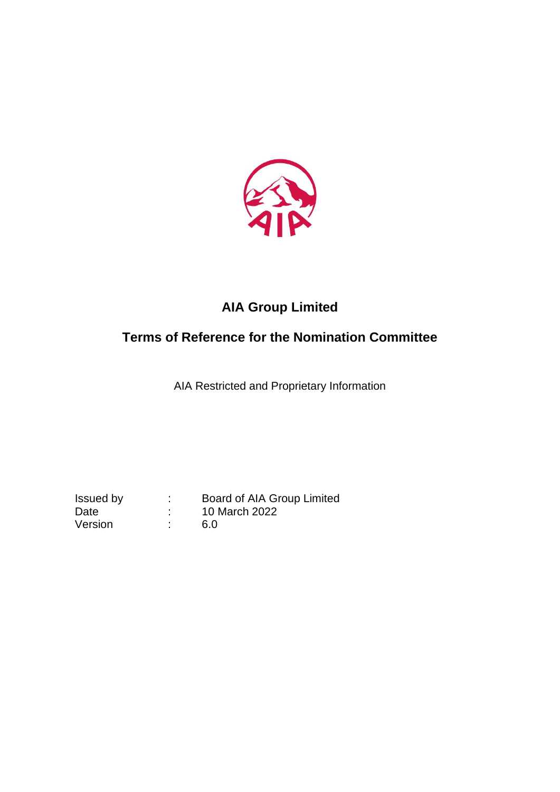

# **AIA Group Limited**

# **Terms of Reference for the Nomination Committee**

AIA Restricted and Proprietary Information

Version : 6.0

Issued by : Board of AIA Group Limited Date : 10 March 2022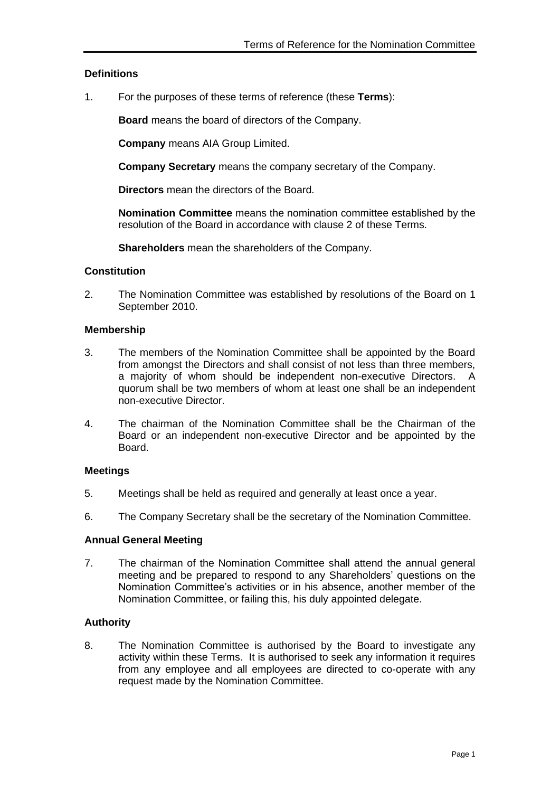## **Definitions**

1. For the purposes of these terms of reference (these **Terms**):

**Board** means the board of directors of the Company.

**Company** means AIA Group Limited.

**Company Secretary** means the company secretary of the Company.

**Directors** mean the directors of the Board.

**Nomination Committee** means the nomination committee established by the resolution of the Board in accordance with clause 2 of these Terms.

**Shareholders** mean the shareholders of the Company.

#### **Constitution**

2. The Nomination Committee was established by resolutions of the Board on 1 September 2010.

#### **Membership**

- 3. The members of the Nomination Committee shall be appointed by the Board from amongst the Directors and shall consist of not less than three members, a majority of whom should be independent non-executive Directors. A quorum shall be two members of whom at least one shall be an independent non-executive Director.
- 4. The chairman of the Nomination Committee shall be the Chairman of the Board or an independent non-executive Director and be appointed by the Board.

#### **Meetings**

- 5. Meetings shall be held as required and generally at least once a year.
- 6. The Company Secretary shall be the secretary of the Nomination Committee.

#### **Annual General Meeting**

7. The chairman of the Nomination Committee shall attend the annual general meeting and be prepared to respond to any Shareholders' questions on the Nomination Committee's activities or in his absence, another member of the Nomination Committee, or failing this, his duly appointed delegate.

## **Authority**

8. The Nomination Committee is authorised by the Board to investigate any activity within these Terms. It is authorised to seek any information it requires from any employee and all employees are directed to co-operate with any request made by the Nomination Committee.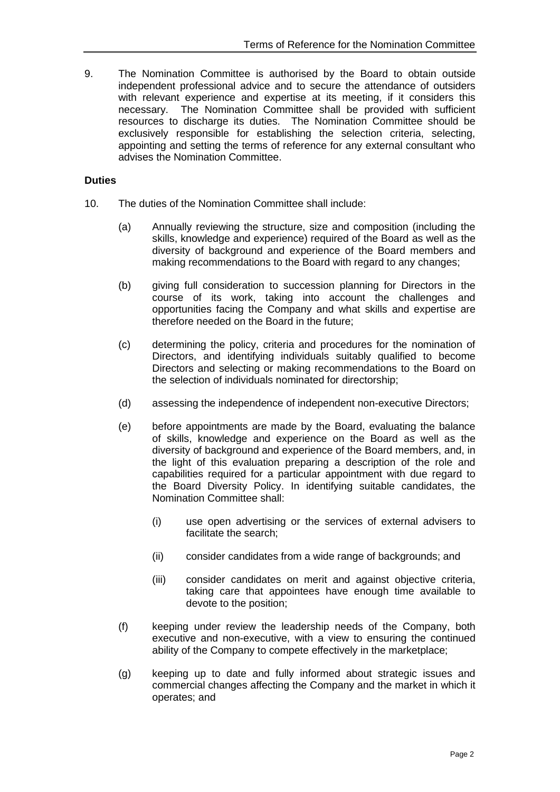9. The Nomination Committee is authorised by the Board to obtain outside independent professional advice and to secure the attendance of outsiders with relevant experience and expertise at its meeting, if it considers this necessary. The Nomination Committee shall be provided with sufficient resources to discharge its duties. The Nomination Committee should be exclusively responsible for establishing the selection criteria, selecting, appointing and setting the terms of reference for any external consultant who advises the Nomination Committee.

## **Duties**

- 10. The duties of the Nomination Committee shall include:
	- (a) Annually reviewing the structure, size and composition (including the skills, knowledge and experience) required of the Board as well as the diversity of background and experience of the Board members and making recommendations to the Board with regard to any changes;
	- (b) giving full consideration to succession planning for Directors in the course of its work, taking into account the challenges and opportunities facing the Company and what skills and expertise are therefore needed on the Board in the future;
	- (c) determining the policy, criteria and procedures for the nomination of Directors, and identifying individuals suitably qualified to become Directors and selecting or making recommendations to the Board on the selection of individuals nominated for directorship;
	- (d) assessing the independence of independent non-executive Directors;
	- (e) before appointments are made by the Board, evaluating the balance of skills, knowledge and experience on the Board as well as the diversity of background and experience of the Board members, and, in the light of this evaluation preparing a description of the role and capabilities required for a particular appointment with due regard to the Board Diversity Policy. In identifying suitable candidates, the Nomination Committee shall:
		- (i) use open advertising or the services of external advisers to facilitate the search;
		- (ii) consider candidates from a wide range of backgrounds; and
		- (iii) consider candidates on merit and against objective criteria, taking care that appointees have enough time available to devote to the position;
	- (f) keeping under review the leadership needs of the Company, both executive and non-executive, with a view to ensuring the continued ability of the Company to compete effectively in the marketplace;
	- (g) keeping up to date and fully informed about strategic issues and commercial changes affecting the Company and the market in which it operates; and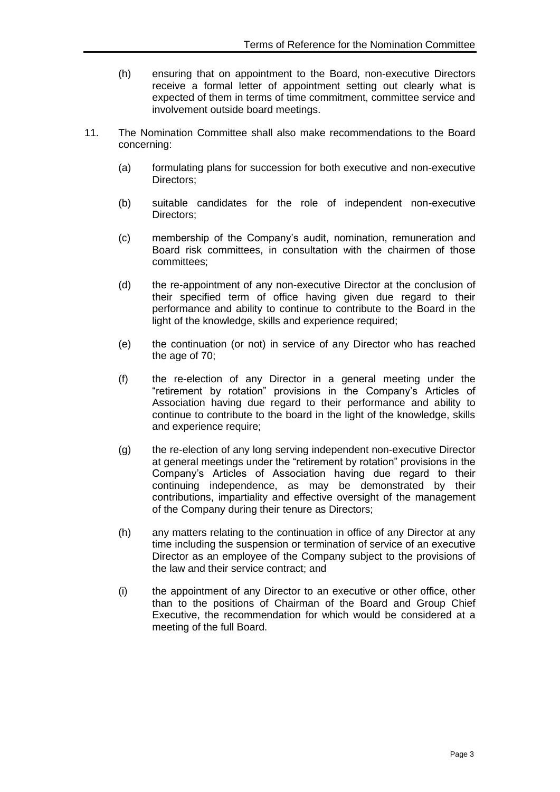- (h) ensuring that on appointment to the Board, non-executive Directors receive a formal letter of appointment setting out clearly what is expected of them in terms of time commitment, committee service and involvement outside board meetings.
- 11. The Nomination Committee shall also make recommendations to the Board concerning:
	- (a) formulating plans for succession for both executive and non-executive Directors;
	- (b) suitable candidates for the role of independent non-executive Directors;
	- (c) membership of the Company's audit, nomination, remuneration and Board risk committees, in consultation with the chairmen of those committees;
	- (d) the re-appointment of any non-executive Director at the conclusion of their specified term of office having given due regard to their performance and ability to continue to contribute to the Board in the light of the knowledge, skills and experience required;
	- (e) the continuation (or not) in service of any Director who has reached the age of 70;
	- (f) the re-election of any Director in a general meeting under the "retirement by rotation" provisions in the Company's Articles of Association having due regard to their performance and ability to continue to contribute to the board in the light of the knowledge, skills and experience require;
	- (g) the re-election of any long serving independent non-executive Director at general meetings under the "retirement by rotation" provisions in the Company's Articles of Association having due regard to their continuing independence, as may be demonstrated by their contributions, impartiality and effective oversight of the management of the Company during their tenure as Directors;
	- (h) any matters relating to the continuation in office of any Director at any time including the suspension or termination of service of an executive Director as an employee of the Company subject to the provisions of the law and their service contract; and
	- (i) the appointment of any Director to an executive or other office, other than to the positions of Chairman of the Board and Group Chief Executive, the recommendation for which would be considered at a meeting of the full Board.